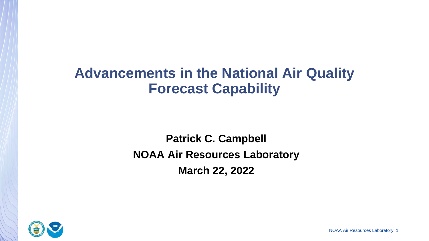# **Advancements in the National Air Quality Forecast Capability**

**Patrick C. Campbell NOAA Air Resources Laboratory March 22, 2022**



NOAA Air Resources Laboratory 1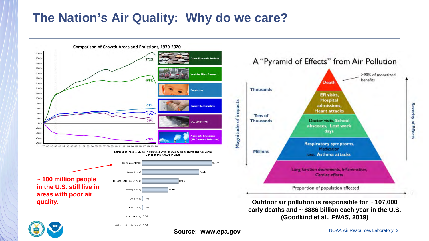### **The Nation's Air Quality: Why do we care?**



**Severity of Effects** 

>90% of monetized

benefits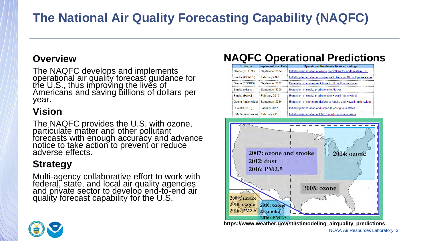# **The National Air Quality Forecasting Capability (NAQFC)**

### **Overview**

The NAQFC develops and implements operational air quality forecast guidance for the U.S., thus improving the lives of Americans and saving billions of dollars per year.

### **Vision**

The NAQFC provides the U.S. with ozone, particulate matter and other pollutant forecasts with enough accuracy and advance notice to take action to prevent or reduce adverse effects.

### **Strategy**

Multi-agency collaborative effort to work with federal, state, and local air quality agencies and private sector to develop end-to-end air quality forecast capability for the U.S.

### **NAQFC Operational Predictions**

| <b>Products</b>                    | <b>Implementation Date</b> | <b>Operational Readiness Review Briefings</b>                        |
|------------------------------------|----------------------------|----------------------------------------------------------------------|
| Ozone (NE U.S.)                    | September 2004             | Initial implementation of ozone predictions for northeastern U.S.    |
| Smoke (CONUS)                      | February 2007              | Initial implementation of smoke predictions for 48 contiguous states |
| Ozone (CONUS)                      | September 2007             | Expansion of ozone predictions to 48 contiguous states               |
| Smoke (Alaska)                     | September 2009             | Expansion of smoke predictions to Alaska                             |
| Smoke (Hawaii)                     | February 2010              | <b>Expansion of smoke predictions to Hawaii (nationwide)</b>         |
| Ozone (nationwide)                 | September 2010             | Expansion of ozone predictions to Alaska and Hawaii (nationwide)     |
| Dust (CONUS)                       | January 2012               | Initial implementation of dust for 48 contiguous states              |
| PM2.5 (nationwide)   February 2016 |                            | Initial implementation of PM2.5 predictions nationwide               |



**https://www.weather.gov/sti/stimodeling\_airquality\_predictions**

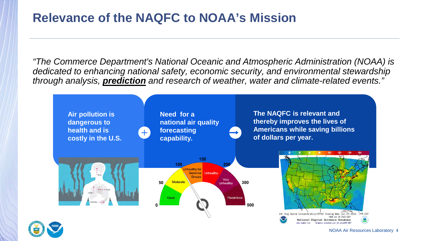### **Relevance of the NAQFC to NOAA's Mission**

*"The Commerce Department's National Oceanic and Atmospheric Administration (NOAA) is dedicated to enhancing national safety, economic security, and environmental stewardship through analysis, prediction and research of weather, water and climate-related events."* 





NOAA Air Resources Laboratory 4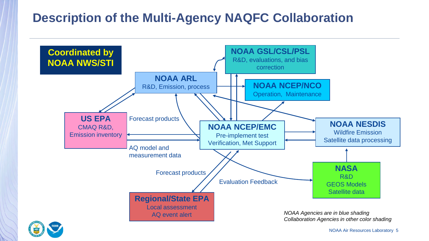### **Description of the Multi-Agency NAQFC Collaboration**





NOAA Air Resources Laboratory 5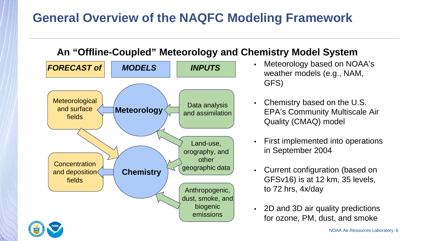## **General Overview of the NAQFC Modeling Framework**

### **An "Offline-Coupled" Meteorology and Chemistry Model System**



- Meteorology based on NOAA's weather models (e.g., NAM, GFS)
- Chemistry based on the U.S. EPA's Community Multiscale Air Quality (CMAQ) model
- First implemented into operations in September 2004
- Current configuration (based on GFSv16) is at 12 km, 35 levels, to 72 hrs, 4x/day
- 2D and 3D air quality predictions for ozone, PM, dust, and smoke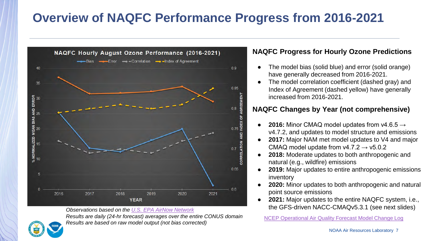## **Overview of NAQFC Performance Progress from 2016-2021**



*Results are daily (24-hr forecast) averages over the entire CONUS domain Results are dally (24-hr forecast) averages over the entire CONUS domain* MCEP Operational Air Quality Forecast Model Change Log<br>Results are based on raw model output (not bias corrected)

#### **NAQFC Progress for Hourly Ozone Predictions**

- The model bias (solid blue) and error (solid orange) have generally decreased from 2016-2021.
- The model correlation coefficient (dashed gray) and Index of Agreement (dashed yellow) have generally increased from 2016-2021.

#### **NAQFC Changes by Year (not comprehensive)**

- **2016:** Minor CMAQ model updates from v4.6.5 → v4.7.2, and updates to model structure and emissions
- 2017: Major NAM met model updates to V4 and major CMAQ model update from  $v4.7.2 \rightarrow v5.0.2$
- **2018:** Moderate updates to both anthropogenic and natural (e.g., wildfire) emissions
- **2019:** Major updates to entire anthropogenic emissions inventory
- **2020:** Minor updates to both anthropogenic and natural point source emissions
- **2021:** Major updates to the entire NAQFC system, i.e., the GFS-driven NACC-CMAQv5.3.1 (see next slides) *Observations based on the [U.S. EPA AirNow Network](https://www.airnow.gov/)*



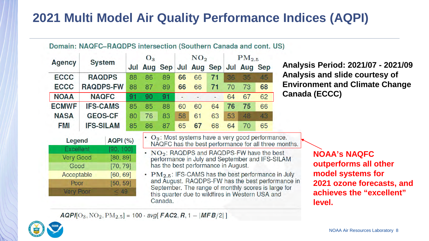# **2021 Multi Model Air Quality Performance Indices (AQPI)**

#### Domain: NAQFC-RAQDPS intersection (Southern Canada and cont. US)

|                      |                      | $O_3$ |                                                              | NO <sub>2</sub> |    |             | $PM_{2.5}$ |    |             |                                                             |                                                      |
|----------------------|----------------------|-------|--------------------------------------------------------------|-----------------|----|-------------|------------|----|-------------|-------------------------------------------------------------|------------------------------------------------------|
| <b>Agency</b>        | <b>System</b>        |       | Jul Aug Sep                                                  |                 |    | Jul Aug Sep |            |    | Jul Aug Sep |                                                             | Anal                                                 |
| <b>ECCC</b>          | <b>RAQDPS</b>        | 88    | 86                                                           | 89              | 66 | 66          | 71         | 36 | 35          | 45                                                          | Anal                                                 |
| <b>ECCC</b>          | <b>RAQDPS-FW</b>     | 88    | 87                                                           | 89              | 66 | 66          | 71         | 70 | 73          | 68                                                          | Envi                                                 |
| <b>NOAA</b>          | <b>NAQFC</b>         | 91    | 90                                                           | 91              |    |             |            | 64 | 67          | 62                                                          | Cana                                                 |
| <b>ECMWF</b>         | <b>IFS-CAMS</b>      | 85    | 85                                                           | 88              | 60 | 60          | 64         | 76 | 75          | 66                                                          |                                                      |
| <b>NASA</b>          | <b>GEOS-CF</b>       | 80    | 76                                                           | 83              | 58 | 61          | 63         | 53 | 48          | 43                                                          |                                                      |
| FMI                  | <b>IFS-SILAM</b>     | 85    | 86                                                           | 87              | 65 | 67          | 68         | 64 | 70          | 65                                                          |                                                      |
| Legend               | <b>AQPI (%)</b>      |       |                                                              |                 |    |             |            |    |             | O <sub>3</sub> : Most systems have a very good performance. | NAQFC has the best performance for all three months. |
| Excellent<br>$M = 1$ | [90, 100]<br>LOO 001 |       | $\cdot$ NO <sub>2</sub> : RAQDPS and RAQDPS-FW have the best |                 |    |             |            |    |             |                                                             |                                                      |

**Analysis Period: 2021/07 - 2021/09 Analysis and slide courtesy of Environment and Climate Change Canada (ECCC)**

| Legend           | <b>AQPI (%)</b> |  |  |  |  |  |
|------------------|-----------------|--|--|--|--|--|
| Excellent        | [90, 100]       |  |  |  |  |  |
| <b>Very Good</b> | [80, 89]        |  |  |  |  |  |
| Good             | [70, 79]        |  |  |  |  |  |
| Acceptable       | [60, 69]        |  |  |  |  |  |
| Poor             | [50, 59]        |  |  |  |  |  |
| <b>Very Poor</b> |                 |  |  |  |  |  |
|                  |                 |  |  |  |  |  |

best performance in July and September and IFS-SILAM has the best performance in August.

 $\cdot$  PM<sub>2.5</sub>: IFS-CAMS has the best performance in July and August. RAQDPS-FW has the best performance in September. The range of monthly scores is large for this quarter due to wildfires in Western USA and Canada.

**NOAA's NAQFC outperforms all other model systems for 2021 ozone forecasts, and achieves the "excellent" level.**

 $AQPI[O_3, NO_2, PM_{2.5}] = 100 \cdot avg[FAC2, R, 1 - |MFB/2|]$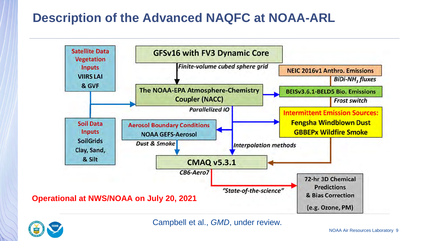### **Description of the Advanced NAQFC at NOAA-ARL**





Campbell et al., *GMD*, under review.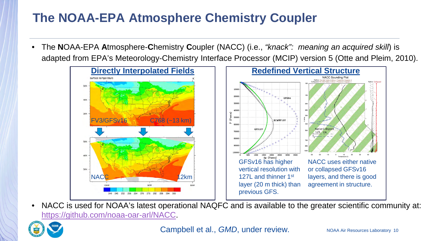# **The NOAA-EPA Atmosphere Chemistry Coupler**

• The **N**OAA-EPA **A**tmosphere-**C**hemistry **C**oupler (NACC) (i.e., *"knack": meaning an acquired skill*) is adapted from EPA's Meteorology-Chemistry Interface Processor (MCIP) version 5 (Otte and Pleim, 2010).



• NACC is used for NOAA's latest operational NAQFC and is available to the greater scientific community at: [https://github.com/noaa-oar-arl/NACC.](https://github.com/noaa-oar-arl/NACC)



Campbell et al., *GMD*, under review.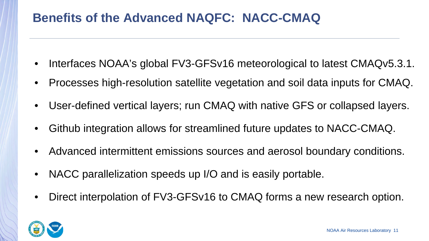### **Benefits of the Advanced NAQFC: NACC-CMAQ**

- Interfaces NOAA's global FV3-GFSv16 meteorological to latest CMAQv5.3.1.
- Processes high-resolution satellite vegetation and soil data inputs for CMAQ.
- User-defined vertical layers; run CMAQ with native GFS or collapsed layers.
- Github integration allows for streamlined future updates to NACC-CMAQ.
- Advanced intermittent emissions sources and aerosol boundary conditions.
- NACC parallelization speeds up I/O and is easily portable.
- Direct interpolation of FV3-GFSv16 to CMAQ forms a new research option.

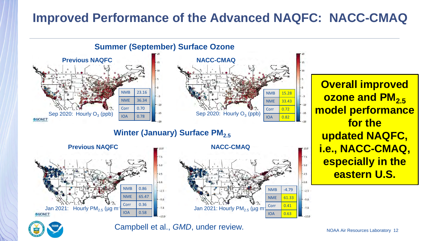### **Improved Performance of the Advanced NAQFC: NACC-CMAQ**



Campbell et al., *GMD*, under review.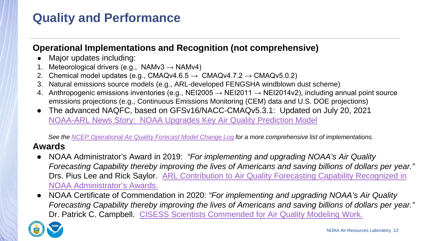### **Operational Implementations and Recognition (not comprehensive)**

- Major updates including:
- Meteorological drivers (e.g., NAMv3  $\rightarrow$  NAMv4)
- 2. Chemical model updates (e.g., CMAQv4.6.5  $\rightarrow$  CMAQv4.7.2  $\rightarrow$  CMAQv5.0.2)
- 3. Natural emissions source models (e.g., ARL-developed FENGSHA windblown dust scheme)
- 4. Anthropogenic emissions inventories (e.g., NEI2005  $\rightarrow$  NEI2011  $\rightarrow$  NEI2014v2), including annual point source emissions projections (e.g., Continuous Emissions Monitoring (CEM) data and U.S. DOE projections)
- The advanced NAQFC, based on GFSv16/NACC-CMAQv5.3.1: Updated on July 20, 2021 [NOAA-ARL News Story: NOAA Upgrades Key Air Quality Prediction Model](https://www.arl.noaa.gov/about/news-photos/noaa-upgrades-key-air-quality-prediction-model/)

*See the [NCEP Operational Air Quality Forecast Model Change Log](https://www.emc.ncep.noaa.gov/mmb/aq/AQChangelog.html) for a more comprehensive list of implementations.*

### **Awards**

- NOAA Administrator's Award in 2019: *"For implementing and upgrading NOAA's Air Quality Forecasting Capability thereby improving the lives of Americans and saving billions of dollars per year."*  Drs. Pius Lee and Rick Saylor. ARL Contribution to Air Quality Forecasting Capability Recognized in NOAA Administrator's Awards.
- NOAA Certificate of Commendation in 2020: *"For implementing and upgrading NOAA's Air Quality Forecasting Capability thereby improving the lives of Americans and saving billions of dollars per year."* Dr. Patrick C. Campbell. [CISESS Scientists Commended for Air Quality Modeling Work.](https://cisess.umd.edu/cisess-scientists-commended-for-air-quality-modeling-work/)

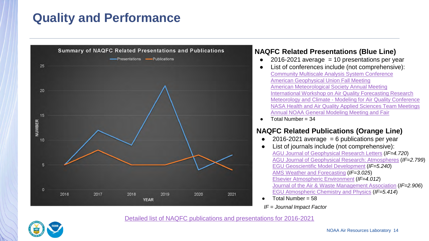

#### **NAQFC Related Presentations (Blue Line)**

- $\bullet$  2016-2021 average = 10 presentations per year
- List of conferences include (not comprehensive): [Community Multiscale Analysis System Conference](https://www.cmascenter.org/conference/2021/index.cfm) [American Geophysical Union Fall Meeting](https://www.agu.org/Fall-Meeting) [American Meteorological Society Annual Meeting](https://annual.ametsoc.org/index.cfm/2022/)  [International Workshop on Air Quality Forecasting Research](https://community.wmo.int/meetings/10th-international-workshop-air-quality-forecasting-research-iwaqfr)  Meteorology and Climate - [Modeling for Air Quality Conference](https://airquality.ucdavis.edu/events/2021-mac-maq-conference) [NASA Health and Air Quality Applied Sciences Team Meetings](https://haqast.org/) [Annual NOAA General Modeling Meeting and Fair](https://www.star.nesdis.noaa.gov/ngmmf2021/fair.php)
- $\bullet$  Total Number = 34

#### **NAQFC Related Publications (Orange Line)**

- $2016-2021$  average = 6 publications per year
- List of journals include (not comprehensive): [AGU Journal of Geophysical Research Letters](https://agupubs.onlinelibrary.wiley.com/journal/19448007) (*IF=4.720*) [AGU Journal of Geophysical Research: Atmospheres](https://agupubs.onlinelibrary.wiley.com/journal/21698996) (*IF=2.799*) [EGU Geoscientific Model Development](https://www.geoscientific-model-development.net/) (*IF=5.240*) [AMS Weather and Forecasting](https://www.ametsoc.org/ams/index.cfm/publications/journals/weather-and-forecasting/) (*IF=3.025*) [Elsevier Atmospheric Environment](https://www.journals.elsevier.com/atmospheric-environment) (*IF=4.012*) [Journal of the Air & Waste Management Association](https://www.tandfonline.com/toc/uawm20/current?gclid=Cj0KCQiA15yNBhDTARIsAGnwe0WrLjA36g3GdAN0QG-KmODnoSr5tGzf6jmzHDnL0CMhOFOUn67KgBIaAvjzEALw_wcB) (*IF=2.906*) [EGU Atmospheric Chemistry and Physics](https://www.atmospheric-chemistry-and-physics.net/) (*IF=5.414*)
- Total Number =  $58$
- *IF = Journal Impact Factor*



[Detailed list of NAQFC publications and presentations for 2016-2021](https://docs.google.com/document/d/1UF0X6PFym2BcUsOmSFUp2tvU_NYg2vjAUW6HcoQS8OA/edit?usp=sharing)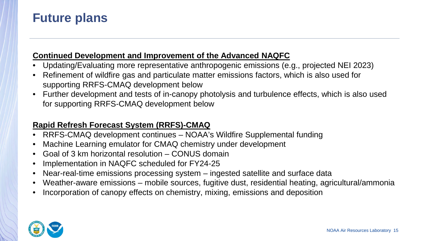### **Future plans**

### **Continued Development and Improvement of the Advanced NAQFC**

- Updating/Evaluating more representative anthropogenic emissions (e.g., projected NEI 2023)
- Refinement of wildfire gas and particulate matter emissions factors, which is also used for supporting RRFS-CMAQ development below
- Further development and tests of in-canopy photolysis and turbulence effects, which is also used for supporting RRFS-CMAQ development below

### **Rapid Refresh Forecast System (RRFS)-CMAQ**

- RRFS-CMAQ development continues NOAA's Wildfire Supplemental funding
- Machine Learning emulator for CMAQ chemistry under development
- Goal of 3 km horizontal resolution CONUS domain
- Implementation in NAQFC scheduled for FY24-25
- Near-real-time emissions processing system ingested satellite and surface data
- Weather-aware emissions mobile sources, fugitive dust, residential heating, agricultural/ammonia
- Incorporation of canopy effects on chemistry, mixing, emissions and deposition

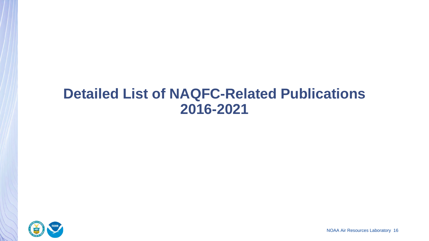# **Detailed List of NAQFC-Related Publications 2016-2021**

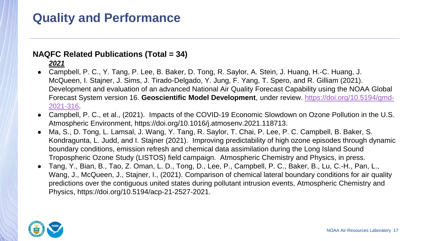#### **NAQFC Related Publications (Total = 34)**

#### *2021*

- Campbell, P. C., Y. Tang, P. Lee, B. Baker, D. Tong, R. Saylor, A. Stein, J. Huang, H.-C. Huang, J. McQueen, I. Stajner, J. Sims, J. Tirado-Delgado, Y. Jung, F. Yang, T. Spero, and R. Gilliam (2021). Development and evaluation of an advanced National Air Quality Forecast Capability using the NOAA Global Forecast System version 16. **Geoscientific Model Development**[, under review. https://doi.org/10.5194/gmd-](https://doi.org/10.5194/gmd-2021-316)2021-316.
- Campbell, P. C., et al., (2021). Impacts of the COVID-19 Economic Slowdown on Ozone Pollution in the U.S. Atmospheric Environment, https://doi.org/10.1016/j.atmosenv.2021.118713.
- Ma, S., D. Tong, L. Lamsal, J. Wang, Y. Tang, R. Saylor, T. Chai, P. Lee, P. C. Campbell, B. Baker, S. Kondragunta, L. Judd, and I. Stajner (2021). Improving predictability of high ozone episodes through dynamic boundary conditions, emission refresh and chemical data assimilation during the Long Island Sound Tropospheric Ozone Study (LISTOS) field campaign. Atmospheric Chemistry and Physics, in press.
- Tang, Y., Bian, B., Tao, Z. Oman, L. D., Tong, D., Lee, P., Campbell, P. C., Baker, B., Lu, C.-H., Pan, L., Wang, J., McQueen, J., Stajner, I., (2021). Comparison of chemical lateral boundary conditions for air quality predictions over the contiguous united states during pollutant intrusion events, Atmospheric Chemistry and Physics, https://doi.org/10.5194/acp-21-2527-2021.

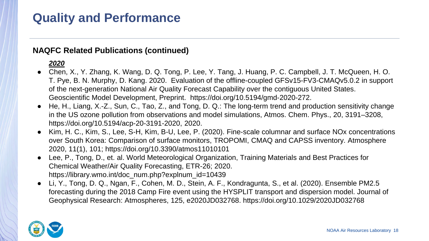#### **NAQFC Related Publications (continued)**

#### *2020*

- Chen, X., Y. Zhang, K. Wang, D. Q. Tong, P. Lee, Y. Tang, J. Huang, P. C. Campbell, J. T. McQueen, H. O. T. Pye, B. N. Murphy, D. Kang. 2020. Evaluation of the offline-coupled GFSv15-FV3-CMAQv5.0.2 in support of the next-generation National Air Quality Forecast Capability over the contiguous United States. Geoscientific Model Development, Preprint. https://doi.org/10.5194/gmd-2020-272.
- He, H., Liang, X.-Z., Sun, C., Tao, Z., and Tong, D. Q.: The long-term trend and production sensitivity change in the US ozone pollution from observations and model simulations, Atmos. Chem. Phys., 20, 3191–3208, https://doi.org/10.5194/acp-20-3191-2020, 2020.
- Kim, H. C., Kim, S., Lee, S-H, Kim, B-U, Lee, P. (2020). Fine-scale columnar and surface NOx concentrations over South Korea: Comparison of surface monitors, TROPOMI, CMAQ and CAPSS inventory. Atmosphere 2020, 11(1), 101; https://doi.org/10.3390/atmos11010101
- Lee, P., Tong, D., et. al. World Meteorological Organization, Training Materials and Best Practices for Chemical Weather/Air Quality Forecasting, ETR-26; 2020. https://library.wmo.int/doc\_num.php?explnum\_id=10439
- Li, Y., Tong, D. Q., Ngan, F., Cohen, M. D., Stein, A. F., Kondragunta, S., et al. (2020). Ensemble PM2.5 forecasting during the 2018 Camp Fire event using the HYSPLIT transport and dispersion model. Journal of Geophysical Research: Atmospheres, 125, e2020JD032768. https://doi.org/10.1029/2020JD032768

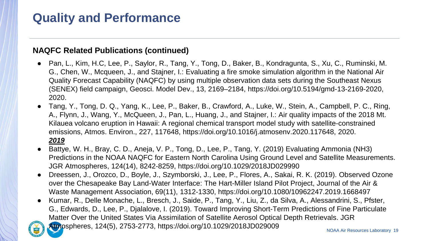#### **NAQFC Related Publications (continued)**

- Pan, L., Kim, H.C, Lee, P., Saylor, R., Tang, Y., Tong, D., Baker, B., Kondragunta, S., Xu, C., Ruminski, M. G., Chen, W., Mcqueen, J., and Stajner, I.: Evaluating a fire smoke simulation algorithm in the National Air Quality Forecast Capability (NAQFC) by using multiple observation data sets during the Southeast Nexus (SENEX) field campaign, Geosci. Model Dev., 13, 2169–2184, https://doi.org/10.5194/gmd-13-2169-2020, 2020.
- Tang, Y., Tong, D. Q., Yang, K., Lee, P., Baker, B., Crawford, A., Luke, W., Stein, A., Campbell, P. C., Ring, A., Flynn, J., Wang, Y., McQueen, J., Pan, L., Huang, J., and Stajner, I.: Air quality impacts of the 2018 Mt. Kilauea volcano eruption in Hawaii: A regional chemical transport model study with satellite-constrained emissions, Atmos. Environ., 227, 117648, https://doi.org/10.1016/j.atmosenv.2020.117648, 2020. *2019*
- Battye, W. H., Bray, C. D., Aneja, V. P., Tong, D., Lee, P., Tang, Y. (2019) Evaluating Ammonia (NH3) Predictions in the NOAA NAQFC for Eastern North Carolina Using Ground Level and Satellite Measurements. JGR Atmospheres, 124(14), 8242-8259, https://doi.org/10.1029/2018JD029990
- Dreessen, J., Orozco, D., Boyle, J., Szymborski, J., Lee, P., Flores, A., Sakai, R. K. (2019). Observed Ozone over the Chesapeake Bay Land-Water Interface: The Hart-Miller Island Pilot Project, Journal of the Air & Waste Management Association, 69(11), 1312-1330, https://doi.org/10.1080/10962247.2019.1668497
- Kumar, R., Delle Monache, L., Bresch, J., Saide, P., Tang, Y., Liu, Z., da Silva, A., Alessandrini, S., Pfster, G., Edwards, D., Lee, P., Djalalove, I. (2019). Toward Improving Short-Term Predictions of Fine Particulate Matter Over the United States Via Assimilation of Satellite Aerosol Optical Depth Retrievals. JGR

[Atmo](http://www.noaa.gov/)spheres, 124(5), 2753-2773, https://doi.org/10.1029/2018JD029009

NOAA Air Resources Laboratory 19

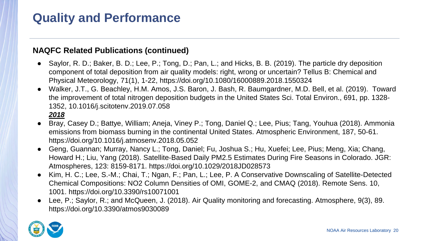#### **NAQFC Related Publications (continued)**

- Saylor, R. D.; Baker, B. D.; Lee, P.; Tong, D.; Pan, L.; and Hicks, B. B. (2019). The particle dry deposition component of total deposition from air quality models: right, wrong or uncertain? Tellus B: Chemical and Physical Meteorology, 71(1), 1-22, https://doi.org/10.1080/16000889.2018.1550324
- Walker, J.T., G. Beachley, H.M. Amos, J.S. Baron, J. Bash, R. Baumgardner, M.D. Bell, et al. (2019). Toward the improvement of total nitrogen deposition budgets in the United States Sci. Total Environ., 691, pp. 1328- 1352, 10.1016/j.scitotenv.2019.07.058 *2018*
- Bray, Casey D.; Battye, William; Aneja, Viney P.; Tong, Daniel Q.; Lee, Pius; Tang, Youhua (2018). Ammonia emissions from biomass burning in the continental United States. Atmospheric Environment, 187, 50-61. https://doi.org/10.1016/j.atmosenv.2018.05.052
- Geng, Guannan; Murray, Nancy L.; Tong, Daniel; Fu, Joshua S.; Hu, Xuefei; Lee, Pius; Meng, Xia; Chang, Howard H.; Liu, Yang (2018). Satellite‐Based Daily PM2.5 Estimates During Fire Seasons in Colorado. JGR: Atmospheres, 123: 8159-8171. https://doi.org/10.1029/2018JD028573
- Kim, H. C.; Lee, S.-M.; Chai, T.; Ngan, F.; Pan, L.; Lee, P. A Conservative Downscaling of Satellite-Detected Chemical Compositions: NO2 Column Densities of OMI, GOME-2, and CMAQ (2018). Remote Sens. 10, 1001. https://doi.org/10.3390/rs10071001
- Lee, P.; Saylor, R.; and McQueen, J. (2018). Air Quality monitoring and forecasting. Atmosphere, 9(3), 89. https://doi.org/10.3390/atmos9030089

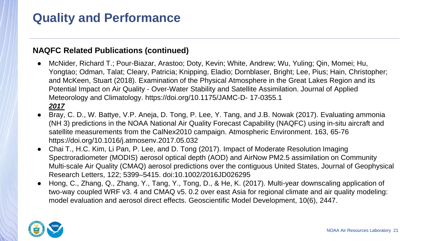#### **NAQFC Related Publications (continued)**

- McNider, Richard T.; Pour-Biazar, Arastoo; Doty, Kevin; White, Andrew; Wu, Yuling; Qin, Momei; Hu, Yongtao; Odman, Talat; Cleary, Patricia; Knipping, Eladio; Dornblaser, Bright; Lee, Pius; Hain, Christopher; and McKeen, Stuart (2018). Examination of the Physical Atmosphere in the Great Lakes Region and its Potential Impact on Air Quality - Over-Water Stability and Satellite Assimilation. Journal of Applied Meteorology and Climatology. https://doi.org/10.1175/JAMC-D- 17-0355.1 *2017*
- Bray, C. D., W. Battye, V.P. Aneja, D. Tong, P. Lee, Y. Tang, and J.B. Nowak (2017). Evaluating ammonia (NH 3) predictions in the NOAA National Air Quality Forecast Capability (NAQFC) using in-situ aircraft and satellite measurements from the CalNex2010 campaign. Atmospheric Environment. 163, 65-76 https://doi.org/10.1016/j.atmosenv.2017.05.032
- Chai T., H.C. Kim, Li Pan, P. Lee, and D. Tong (2017). Impact of Moderate Resolution Imaging Spectroradiometer (MODIS) aerosol optical depth (AOD) and AirNow PM2.5 assimilation on Community Multi-scale Air Quality (CMAQ) aerosol predictions over the contiguous United States, Journal of Geophysical Research Letters, 122; 5399–5415. doi:10.1002/2016JD026295
- Hong, C., Zhang, Q., Zhang, Y., Tang, Y., Tong, D., & He, K. (2017). Multi-year downscaling application of two-way coupled WRF v3. 4 and CMAQ v5. 0.2 over east Asia for regional climate and air quality modeling: model evaluation and aerosol direct effects. Geoscientific Model Development, 10(6), 2447.

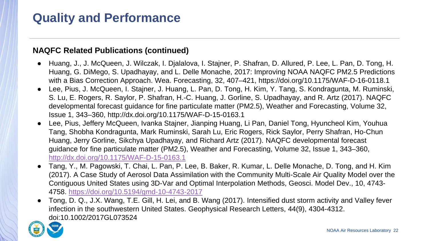#### **NAQFC Related Publications (continued)**

- Huang, J., J. McQueen, J. Wilczak, I. Djalalova, I. Stajner, P. Shafran, D. Allured, P. Lee, L. Pan, D. Tong, H. Huang, G. DiMego, S. Upadhayay, and L. Delle Monache, 2017: Improving NOAA NAQFC PM2.5 Predictions with a Bias Correction Approach. Wea. Forecasting, 32, 407–421, https://doi.org/10.1175/WAF-D-16-0118.1
- Lee, Pius, J. McQueen, I. Stajner, J. Huang, L. Pan, D. Tong, H. Kim, Y. Tang, S. Kondragunta, M. Ruminski, S. Lu, E. Rogers, R. Saylor, P. Shafran, H.-C. Huang, J. Gorline, S. Upadhayay, and R. Artz (2017). NAQFC developmental forecast guidance for fine particulate matter (PM2.5), Weather and Forecasting, Volume 32, Issue 1, 343–360, http://dx.doi.org/10.1175/WAF-D-15-0163.1
- Lee, Pius, Jeffery McQueen, Ivanka Stajner, Jianping Huang, Li Pan, Daniel Tong, Hyuncheol Kim, Youhua Tang, Shobha Kondragunta, Mark Ruminski, Sarah Lu, Eric Rogers, Rick Saylor, Perry Shafran, Ho-Chun Huang, Jerry Gorline, Sikchya Upadhayay, and Richard Artz (2017). NAQFC developmental forecast guidance for fine particulate matter (PM2.5), Weather and Forecasting, Volume 32, Issue 1, 343–360, <http://dx.doi.org/10.1175/WAF-D-15-0163.1>
- Tang, Y., M. Pagowski, T. Chai, L. Pan, P. Lee, B. Baker, R. Kumar, L. Delle Monache, D. Tong, and H. Kim (2017). A Case Study of Aerosol Data Assimilation with the Community Multi-Scale Air Quality Model over the Contiguous United States using 3D-Var and Optimal Interpolation Methods, Geosci. Model Dev., 10, 4743- 4758. <https://doi.org/10.5194/gmd-10-4743-2017>
- Tong, D. Q., J.X. Wang, T.E. Gill, H. Lei, and B. Wang (2017). Intensified dust storm activity and Valley fever infection in the southwestern United States. Geophysical Research Letters, 44(9), 4304-4312. doi:10.1002/2017GL073524